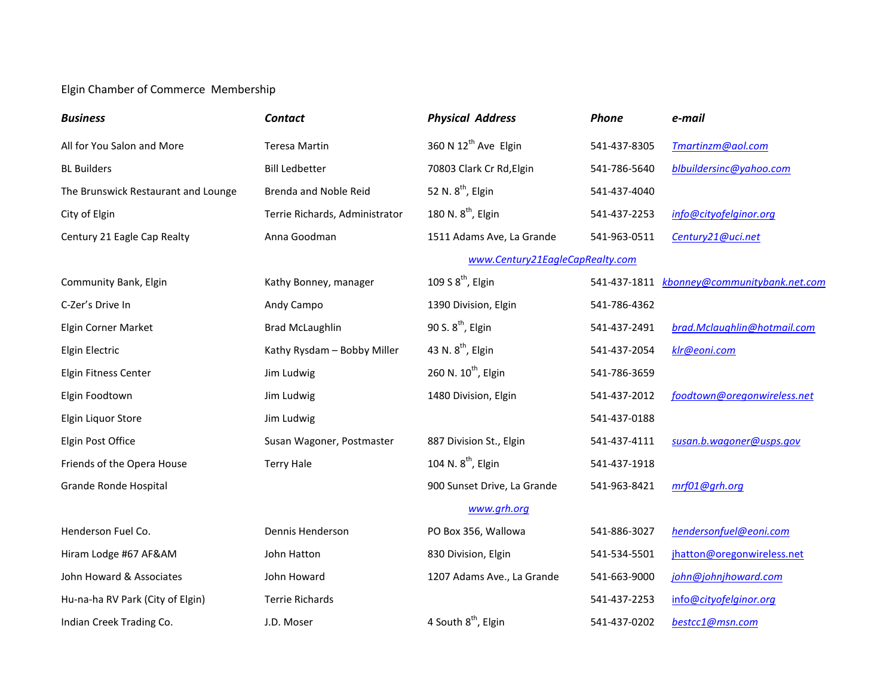## Elgin Chamber of Commerce Membership

| <b>Business</b>                     | <b>Contact</b>                 | <b>Physical Address</b>          | Phone        | e-mail                                     |
|-------------------------------------|--------------------------------|----------------------------------|--------------|--------------------------------------------|
| All for You Salon and More          | <b>Teresa Martin</b>           | 360 N 12 <sup>th</sup> Ave Elgin | 541-437-8305 | Tmartinzm@aol.com                          |
| <b>BL Builders</b>                  | <b>Bill Ledbetter</b>          | 70803 Clark Cr Rd, Elgin         | 541-786-5640 | blbuildersinc@yahoo.com                    |
| The Brunswick Restaurant and Lounge | Brenda and Noble Reid          | 52 N. 8 <sup>th</sup> , Elgin    | 541-437-4040 |                                            |
| City of Elgin                       | Terrie Richards, Administrator | 180 N. 8 <sup>th</sup> , Elgin   | 541-437-2253 | info@cityofelginor.org                     |
| Century 21 Eagle Cap Realty         | Anna Goodman                   | 1511 Adams Ave, La Grande        | 541-963-0511 | Century21@uci.net                          |
|                                     |                                | www.Century21EagleCapRealty.com  |              |                                            |
| Community Bank, Elgin               | Kathy Bonney, manager          | 109 S $8th$ , Elgin              |              | 541-437-1811 kbonney@communitybank.net.com |
| C-Zer's Drive In                    | Andy Campo                     | 1390 Division, Elgin             | 541-786-4362 |                                            |
| Elgin Corner Market                 | <b>Brad McLaughlin</b>         | 90 S. 8 <sup>th</sup> , Elgin    | 541-437-2491 | brad.Mclaughlin@hotmail.com                |
| Elgin Electric                      | Kathy Rysdam - Bobby Miller    | 43 N. 8 <sup>th</sup> , Elgin    | 541-437-2054 | klr@eoni.com                               |
| Elgin Fitness Center                | Jim Ludwig                     | 260 N. 10 <sup>th</sup> , Elgin  | 541-786-3659 |                                            |
| Elgin Foodtown                      | Jim Ludwig                     | 1480 Division, Elgin             | 541-437-2012 | foodtown@oregonwireless.net                |
| Elgin Liquor Store                  | Jim Ludwig                     |                                  | 541-437-0188 |                                            |
| Elgin Post Office                   | Susan Wagoner, Postmaster      | 887 Division St., Elgin          | 541-437-4111 | susan.b.wagoner@usps.gov                   |
| Friends of the Opera House          | <b>Terry Hale</b>              | 104 N. $8^{th}$ , Elgin          | 541-437-1918 |                                            |
| Grande Ronde Hospital               |                                | 900 Sunset Drive, La Grande      | 541-963-8421 | mrf01@grh.org                              |
|                                     |                                | www.grh.org                      |              |                                            |
| Henderson Fuel Co.                  | Dennis Henderson               | PO Box 356, Wallowa              | 541-886-3027 | hendersonfuel@eoni.com                     |
| Hiram Lodge #67 AF&AM               | John Hatton                    | 830 Division, Elgin              | 541-534-5501 | jhatton@oregonwireless.net                 |
| John Howard & Associates            | John Howard                    | 1207 Adams Ave., La Grande       | 541-663-9000 | john@johnjhoward.com                       |
| Hu-na-ha RV Park (City of Elgin)    | <b>Terrie Richards</b>         |                                  | 541-437-2253 | info@cityofelginor.org                     |
| Indian Creek Trading Co.            | J.D. Moser                     | 4 South 8 <sup>th</sup> , Elgin  | 541-437-0202 | bestcc1@msn.com                            |